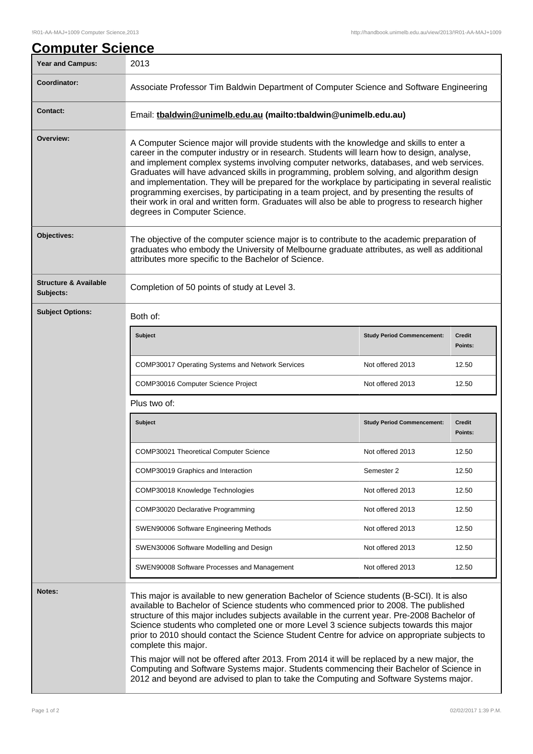## **Computer Science** Year and Campus: 2013 **Coordinator:** Associate Professor Tim Baldwin Department of Computer Science and Software Engineering **Contact:** Email: **tbaldwin@unimelb.edu.au (mailto:tbaldwin@unimelb.edu.au) Overview:** A Computer Science major will provide students with the knowledge and skills to enter a career in the computer industry or in research. Students will learn how to design, analyse, and implement complex systems involving computer networks, databases, and web services. Graduates will have advanced skills in programming, problem solving, and algorithm design and implementation. They will be prepared for the workplace by participating in several realistic programming exercises, by participating in a team project, and by presenting the results of their work in oral and written form. Graduates will also be able to progress to research higher degrees in Computer Science. **Objectives:** The objective of the computer science major is to contribute to the academic preparation of graduates who embody the University of Melbourne graduate attributes, as well as additional attributes more specific to the Bachelor of Science. **Structure & Available Subjects:** Completion of 50 points of study at Level 3. **Subject Options:** Both of: **Subject Study Period Commencement: Credit Points:** COMP30017 Operating Systems and Network Services Not offered 2013 12.50 COMP30016 Computer Science Project Not offered 2013 12.50 Plus two of: **Subject Study Period Commencement: Credit Points:** COMP30021 Theoretical Computer Science Not offered 2013 12.50 COMP30019 Graphics and Interaction Semester 2 12.50 COMP30018 Knowledge Technologies Not offered 2013 12.50 COMP30020 Declarative Programming Not offered 2013 12.50 SWEN90006 Software Engineering Methods Not offered 2013 12.50 SWEN30006 Software Modelling and Design Notelling Not offered 2013 12.50 SWEN90008 Software Processes and Management Not offered 2013 12.50 **Notes:** This major is available to new generation Bachelor of Science students (B-SCI). It is also available to Bachelor of Science students who commenced prior to 2008. The published structure of this major includes subjects available in the current year. Pre-2008 Bachelor of Science students who completed one or more Level 3 science subjects towards this major prior to 2010 should contact the Science Student Centre for advice on appropriate subjects to complete this major. This major will not be offered after 2013. From 2014 it will be replaced by a new major, the Computing and Software Systems major. Students commencing their Bachelor of Science in 2012 and beyond are advised to plan to take the Computing and Software Systems major.